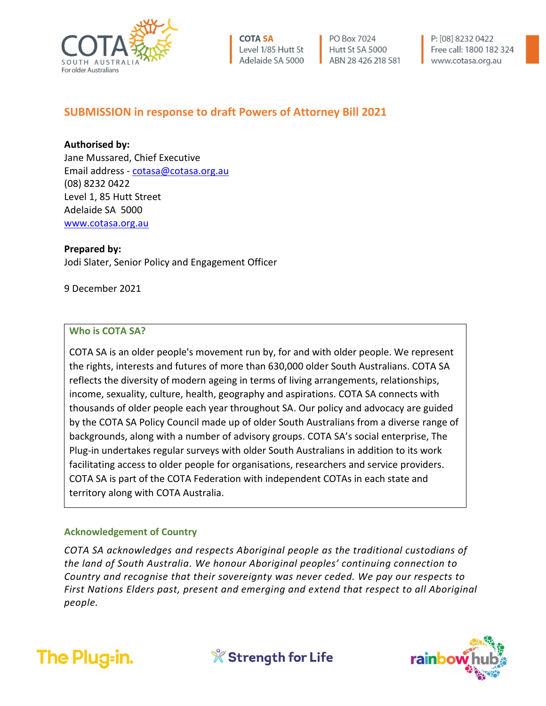

**COTA SA** Level 1/85 Hutt St Adelaide SA 5000 PO Box 7024 Hutt St SA 5000 ABN 28 426 218 581 P: [08] 8232 0422 Free call: 1800 182 324 www.cotasa.org.au

# **SUBMISSION in response to draft Powers of Attorney Bill 2021**

**Authorised by:** 

Jane Mussared, Chief Executive Email address - [cotasa@cotasa.org.au](mailto:cotasa@cotasa.org.au) (08) 8232 0422 Level 1, 85 Hutt Street Adelaide SA 5000 [www.cotasa.org.au](http://www.cotasa.org.au/)

**Prepared by:**

Jodi Slater, Senior Policy and Engagement Officer

9 December 2021

#### **Who is COTA SA?**

COTA SA is an older people's movement run by, for and with older people. We represent the rights, interests and futures of more than 630,000 older South Australians. COTA SA reflects the diversity of modern ageing in terms of living arrangements, relationships, income, sexuality, culture, health, geography and aspirations. COTA SA connects with thousands of older people each year throughout SA. Our policy and advocacy are guided by the COTA SA Policy Council made up of older South Australians from a diverse range of backgrounds, along with a number of advisory groups. COTA SA's social enterprise, The Plug-in undertakes regular surveys with older South Australians in addition to its work facilitating access to older people for organisations, researchers and service providers. COTA SA is part of the COTA Federation with independent COTAs in each state and territory along with COTA Australia.

#### **Acknowledgement of Country**

*COTA SA acknowledges and respects Aboriginal people as the traditional custodians of the land of South Australia. We honour Aboriginal peoples' continuing connection to Country and recognise that their sovereignty was never ceded. We pay our respects to First Nations Elders past, present and emerging and extend that respect to all Aboriginal people.*





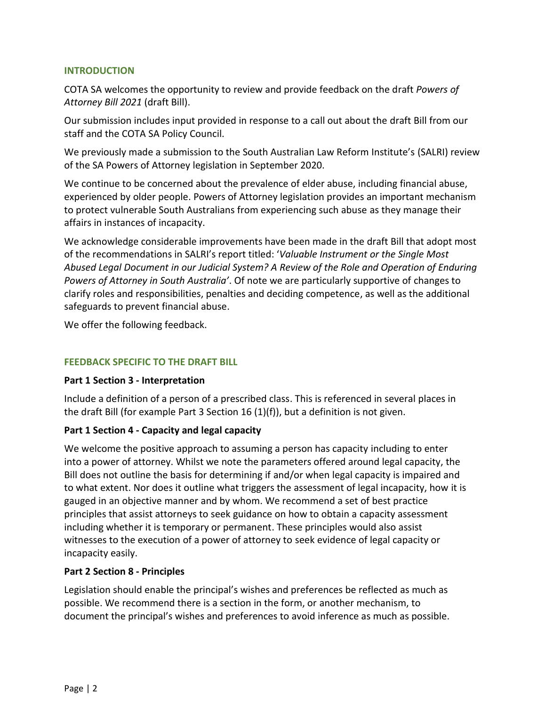#### **INTRODUCTION**

COTA SA welcomes the opportunity to review and provide feedback on the draft *Powers of Attorney Bill 2021* (draft Bill).

Our submission includes input provided in response to a call out about the draft Bill from our staff and the COTA SA Policy Council.

We previously made a submission to the South Australian Law Reform Institute's (SALRI) review of the SA Powers of Attorney legislation in September 2020.

We continue to be concerned about the prevalence of elder abuse, including financial abuse, experienced by older people. Powers of Attorney legislation provides an important mechanism to protect vulnerable South Australians from experiencing such abuse as they manage their affairs in instances of incapacity.

We acknowledge considerable improvements have been made in the draft Bill that adopt most of the recommendations in SALRI's report titled: '*Valuable Instrument or the Single Most Abused Legal Document in our Judicial System? A Review of the Role and Operation of Enduring Powers of Attorney in South Australia'*. Of note we are particularly supportive of changes to clarify roles and responsibilities, penalties and deciding competence, as well as the additional safeguards to prevent financial abuse.

We offer the following feedback.

#### **FEEDBACK SPECIFIC TO THE DRAFT BILL**

#### **Part 1 Section 3 - Interpretation**

Include a definition of a person of a prescribed class. This is referenced in several places in the draft Bill (for example Part 3 Section 16  $(1)(f)$ ), but a definition is not given.

#### **Part 1 Section 4 - Capacity and legal capacity**

We welcome the positive approach to assuming a person has capacity including to enter into a power of attorney. Whilst we note the parameters offered around legal capacity, the Bill does not outline the basis for determining if and/or when legal capacity is impaired and to what extent. Nor does it outline what triggers the assessment of legal incapacity, how it is gauged in an objective manner and by whom. We recommend a set of best practice principles that assist attorneys to seek guidance on how to obtain a capacity assessment including whether it is temporary or permanent. These principles would also assist witnesses to the execution of a power of attorney to seek evidence of legal capacity or incapacity easily.

#### **Part 2 Section 8 - Principles**

Legislation should enable the principal's wishes and preferences be reflected as much as possible. We recommend there is a section in the form, or another mechanism, to document the principal's wishes and preferences to avoid inference as much as possible.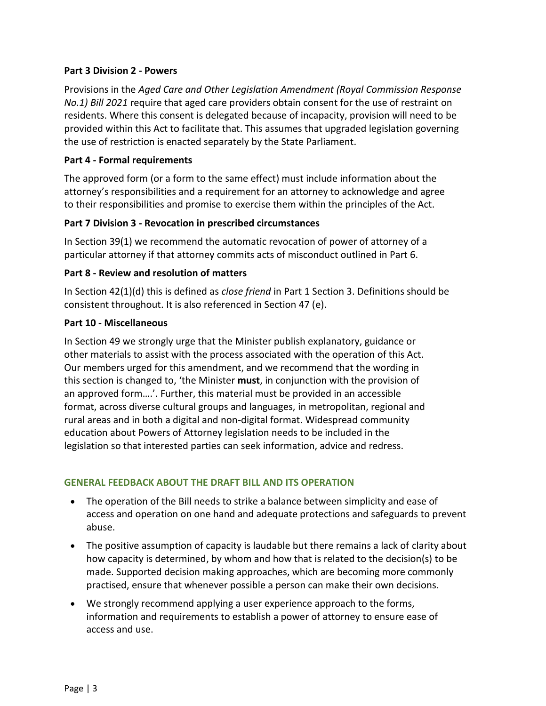#### **Part 3 Division 2 - Powers**

Provisions in the *Aged Care and Other Legislation Amendment (Royal Commission Response No.1) Bill 2021* require that aged care providers obtain consent for the use of restraint on residents. Where this consent is delegated because of incapacity, provision will need to be provided within this Act to facilitate that. This assumes that upgraded legislation governing the use of restriction is enacted separately by the State Parliament.

## **Part 4 - Formal requirements**

The approved form (or a form to the same effect) must include information about the attorney's responsibilities and a requirement for an attorney to acknowledge and agree to their responsibilities and promise to exercise them within the principles of the Act.

# **Part 7 Division 3 - Revocation in prescribed circumstances**

In Section 39(1) we recommend the automatic revocation of power of attorney of a particular attorney if that attorney commits acts of misconduct outlined in Part 6.

## **Part 8 - Review and resolution of matters**

In Section 42(1)(d) this is defined as *close friend* in Part 1 Section 3. Definitions should be consistent throughout. It is also referenced in Section 47 (e).

## **Part 10 - Miscellaneous**

In Section 49 we strongly urge that the Minister publish explanatory, guidance or other materials to assist with the process associated with the operation of this Act. Our members urged for this amendment, and we recommend that the wording in this section is changed to, 'the Minister **must**, in conjunction with the provision of an approved form….'. Further, this material must be provided in an accessible format, across diverse cultural groups and languages, in metropolitan, regional and rural areas and in both a digital and non-digital format. Widespread community education about Powers of Attorney legislation needs to be included in the legislation so that interested parties can seek information, advice and redress.

# **GENERAL FEEDBACK ABOUT THE DRAFT BILL AND ITS OPERATION**

- The operation of the Bill needs to strike a balance between simplicity and ease of access and operation on one hand and adequate protections and safeguards to prevent abuse.
- The positive assumption of capacity is laudable but there remains a lack of clarity about how capacity is determined, by whom and how that is related to the decision(s) to be made. Supported decision making approaches, which are becoming more commonly practised, ensure that whenever possible a person can make their own decisions.
- We strongly recommend applying a user experience approach to the forms, information and requirements to establish a power of attorney to ensure ease of access and use.